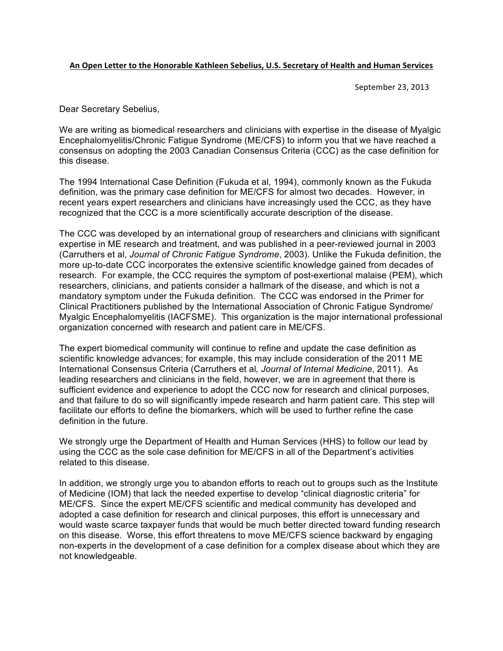## An Open Letter to the Honorable Kathleen Sebelius, U.S. Secretary of Health and Human Services

September 23, 2013

Dear Secretary Sebelius,

We are writing as biomedical researchers and clinicians with expertise in the disease of Myalgic Encephalomyelitis/Chronic Fatigue Syndrome (ME/CFS) to inform you that we have reached a consensus on adopting the 2003 Canadian Consensus Criteria (CCC) as the case definition for this disease.

The 1994 International Case Definition (Fukuda et al, 1994), commonly known as the Fukuda definition, was the primary case definition for ME/CFS for almost two decades. However, in recent years expert researchers and clinicians have increasingly used the CCC, as they have recognized that the CCC is a more scientifically accurate description of the disease.

The CCC was developed by an international group of researchers and clinicians with significant expertise in ME research and treatment, and was published in a peer-reviewed journal in 2003 (Carruthers et al, *Journal of Chronic Fatigue Syndrome*, 2003). Unlike the Fukuda definition, the more up-to-date CCC incorporates the extensive scientific knowledge gained from decades of research. For example, the CCC requires the symptom of post-exertional malaise (PEM), which researchers, clinicians, and patients consider a hallmark of the disease, and which is not a mandatory symptom under the Fukuda definition. The CCC was endorsed in the Primer for Clinical Practitioners published by the International Association of Chronic Fatigue Syndrome/ Myalgic Encephalomyelitis (IACFSME). This organization is the major international professional organization concerned with research and patient care in ME/CFS.

The expert biomedical community will continue to refine and update the case definition as scientific knowledge advances; for example, this may include consideration of the 2011 ME International Consensus Criteria (Carruthers et al*, Journal of Internal Medicine*, 2011). As leading researchers and clinicians in the field, however, we are in agreement that there is sufficient evidence and experience to adopt the CCC now for research and clinical purposes, and that failure to do so will significantly impede research and harm patient care. This step will facilitate our efforts to define the biomarkers, which will be used to further refine the case definition in the future.

We strongly urge the Department of Health and Human Services (HHS) to follow our lead by using the CCC as the sole case definition for ME/CFS in all of the Department's activities related to this disease.

In addition, we strongly urge you to abandon efforts to reach out to groups such as the Institute of Medicine (IOM) that lack the needed expertise to develop "clinical diagnostic criteria" for ME/CFS. Since the expert ME/CFS scientific and medical community has developed and adopted a case definition for research and clinical purposes, this effort is unnecessary and would waste scarce taxpayer funds that would be much better directed toward funding research on this disease. Worse, this effort threatens to move ME/CFS science backward by engaging non-experts in the development of a case definition for a complex disease about which they are not knowledgeable.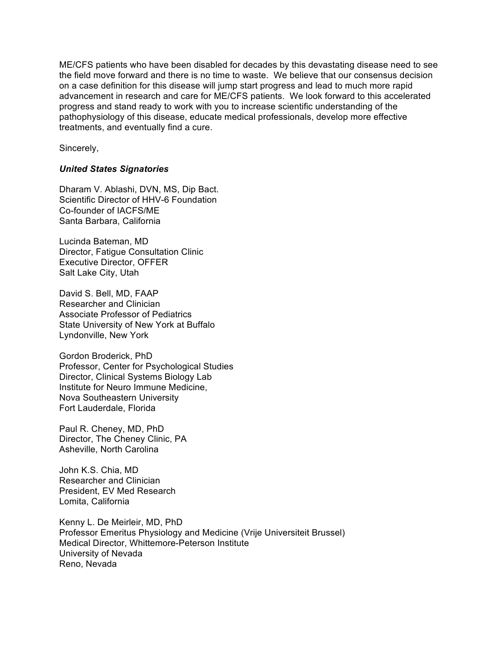ME/CFS patients who have been disabled for decades by this devastating disease need to see the field move forward and there is no time to waste. We believe that our consensus decision on a case definition for this disease will jump start progress and lead to much more rapid advancement in research and care for ME/CFS patients. We look forward to this accelerated progress and stand ready to work with you to increase scientific understanding of the pathophysiology of this disease, educate medical professionals, develop more effective treatments, and eventually find a cure.

Sincerely,

## *United States Signatories*

Dharam V. Ablashi, DVN, MS, Dip Bact. Scientific Director of HHV-6 Foundation Co-founder of IACFS/ME Santa Barbara, California

Lucinda Bateman, MD Director, Fatigue Consultation Clinic Executive Director, OFFER Salt Lake City, Utah

David S. Bell, MD, FAAP Researcher and Clinician Associate Professor of Pediatrics State University of New York at Buffalo Lyndonville, New York

Gordon Broderick, PhD Professor, Center for Psychological Studies Director, Clinical Systems Biology Lab Institute for Neuro Immune Medicine, Nova Southeastern University Fort Lauderdale, Florida

Paul R. Cheney, MD, PhD Director, The Cheney Clinic, PA Asheville, North Carolina

John K.S. Chia, MD Researcher and Clinician President, EV Med Research Lomita, California

Kenny L. De Meirleir, MD, PhD Professor Emeritus Physiology and Medicine (Vrije Universiteit Brussel) Medical Director, Whittemore-Peterson Institute University of Nevada Reno, Nevada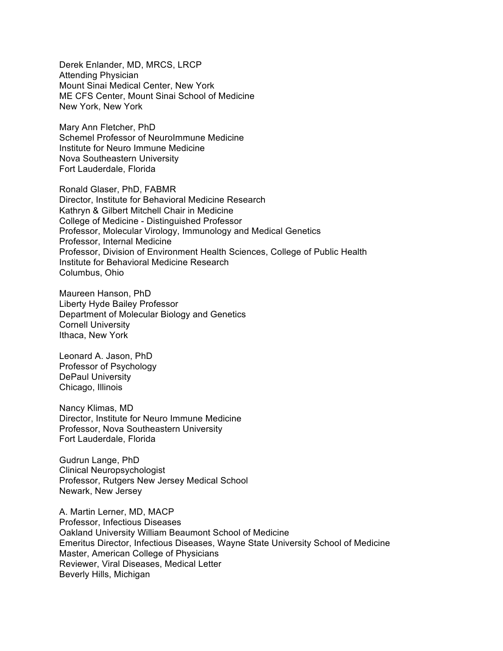Derek Enlander, MD, MRCS, LRCP Attending Physician Mount Sinai Medical Center, New York ME CFS Center, Mount Sinai School of Medicine New York, New York

Mary Ann Fletcher, PhD Schemel Professor of NeuroImmune Medicine Institute for Neuro Immune Medicine Nova Southeastern University Fort Lauderdale, Florida

Ronald Glaser, PhD, FABMR Director, Institute for Behavioral Medicine Research Kathryn & Gilbert Mitchell Chair in Medicine College of Medicine - Distinguished Professor Professor, Molecular Virology, Immunology and Medical Genetics Professor, Internal Medicine Professor, Division of Environment Health Sciences, College of Public Health Institute for Behavioral Medicine Research Columbus, Ohio

Maureen Hanson, PhD Liberty Hyde Bailey Professor Department of Molecular Biology and Genetics Cornell University Ithaca, New York

Leonard A. Jason, PhD Professor of Psychology DePaul University Chicago, Illinois

Nancy Klimas, MD Director, Institute for Neuro Immune Medicine Professor, Nova Southeastern University Fort Lauderdale, Florida

Gudrun Lange, PhD Clinical Neuropsychologist Professor, Rutgers New Jersey Medical School Newark, New Jersey

A. Martin Lerner, MD, MACP Professor, Infectious Diseases Oakland University William Beaumont School of Medicine Emeritus Director, Infectious Diseases, Wayne State University School of Medicine Master, American College of Physicians Reviewer, Viral Diseases, Medical Letter Beverly Hills, Michigan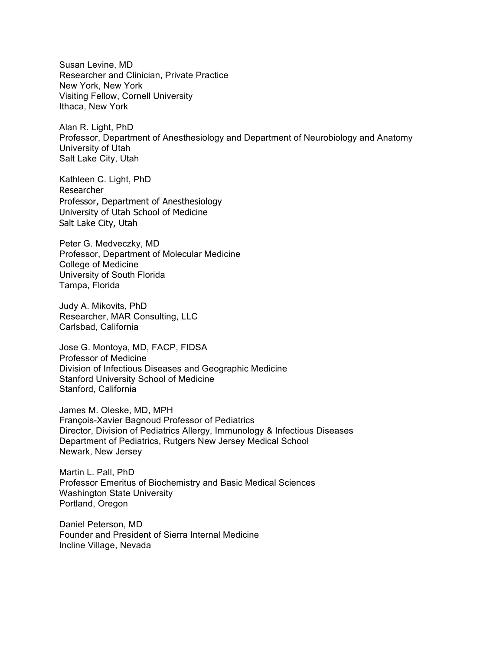Susan Levine, MD Researcher and Clinician, Private Practice New York, New York Visiting Fellow, Cornell University Ithaca, New York

Alan R. Light, PhD Professor, Department of Anesthesiology and Department of Neurobiology and Anatomy University of Utah Salt Lake City, Utah

Kathleen C. Light, PhD Researcher Professor, Department of Anesthesiology University of Utah School of Medicine Salt Lake City, Utah

Peter G. Medveczky, MD Professor, Department of Molecular Medicine College of Medicine University of South Florida Tampa, Florida

Judy A. Mikovits, PhD Researcher, MAR Consulting, LLC Carlsbad, California

Jose G. Montoya, MD, FACP, FIDSA Professor of Medicine Division of Infectious Diseases and Geographic Medicine Stanford University School of Medicine Stanford, California

James M. Oleske, MD, MPH François-Xavier Bagnoud Professor of Pediatrics Director, Division of Pediatrics Allergy, Immunology & Infectious Diseases Department of Pediatrics, Rutgers New Jersey Medical School Newark, New Jersey

Martin L. Pall, PhD Professor Emeritus of Biochemistry and Basic Medical Sciences Washington State University Portland, Oregon

Daniel Peterson, MD Founder and President of Sierra Internal Medicine Incline Village, Nevada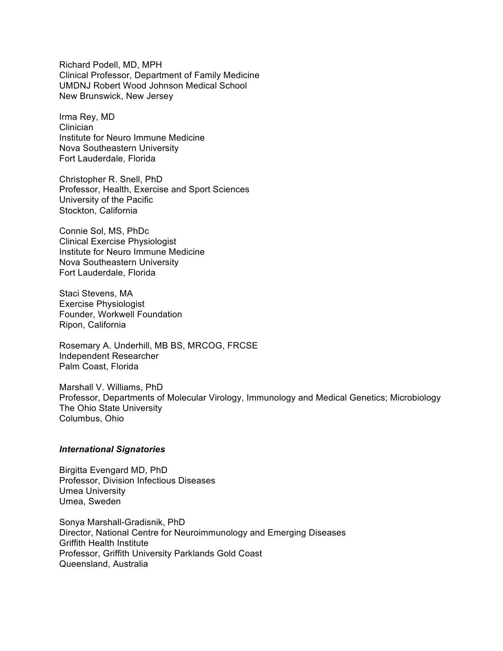Richard Podell, MD, MPH Clinical Professor, Department of Family Medicine UMDNJ Robert Wood Johnson Medical School New Brunswick, New Jersey

Irma Rey, MD Clinician Institute for Neuro Immune Medicine Nova Southeastern University Fort Lauderdale, Florida

Christopher R. Snell, PhD Professor, Health, Exercise and Sport Sciences University of the Pacific Stockton, California

Connie Sol, MS, PhDc Clinical Exercise Physiologist Institute for Neuro Immune Medicine Nova Southeastern University Fort Lauderdale, Florida

Staci Stevens, MA Exercise Physiologist Founder, Workwell Foundation Ripon, California

Rosemary A. Underhill, MB BS, MRCOG, FRCSE Independent Researcher Palm Coast, Florida

Marshall V. Williams, PhD Professor, Departments of Molecular Virology, Immunology and Medical Genetics; Microbiology The Ohio State University Columbus, Ohio

## *International Signatories*

Birgitta Evengard MD, PhD Professor, Division Infectious Diseases Umea University Umea, Sweden

Sonya Marshall-Gradisnik, PhD Director, National Centre for Neuroimmunology and Emerging Diseases Griffith Health Institute Professor, Griffith University Parklands Gold Coast Queensland, Australia